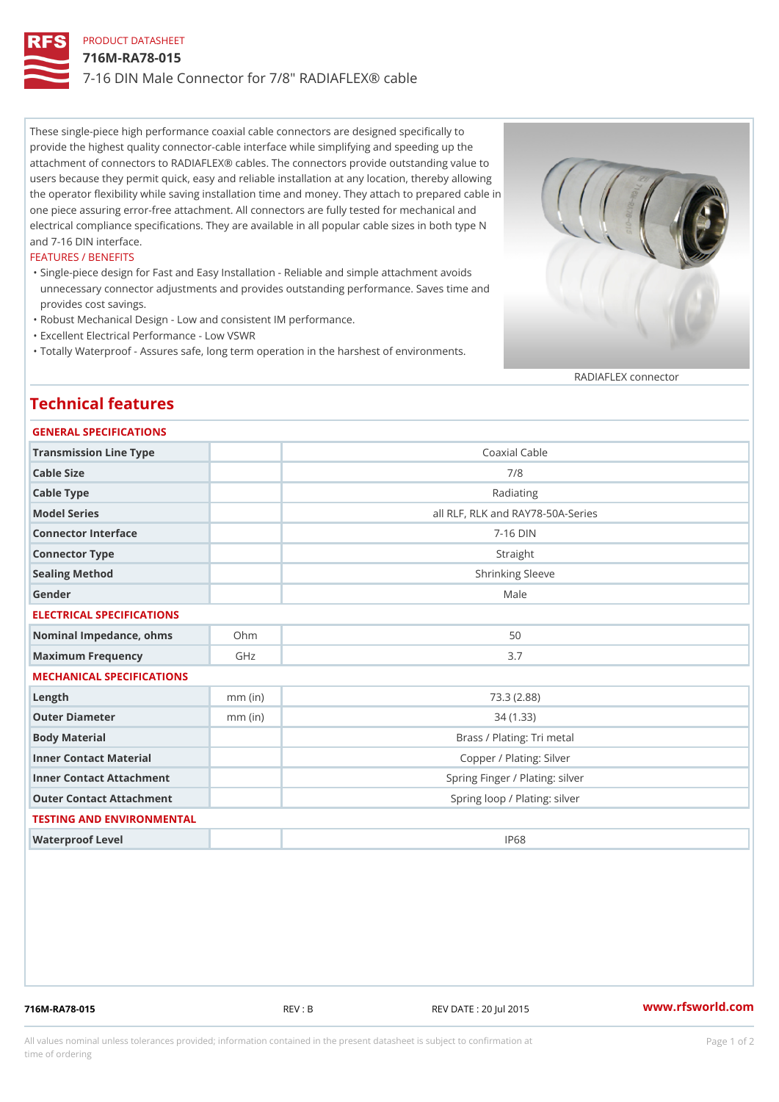# PRODUCT DATASHEET 716M-RA78-015 7-16 DIN Male Connector for 7/8" RADIAFLEX® cable

These single-piece high performance coaxial cable connectors are designed specifically to provide the highest quality connector-cable interface while simplifying and speeding up the attachment of connectors to RADIAFLEX® cables. The connectors provide outstanding value to users because they permit quick, easy and reliable installation at any location, thereby allowing the operator flexibility while saving installation time and money. They attach to prepared cable in one piece assuring error-free attachment. All connectors are fully tested for mechanical and electrical compliance specifications. They are available in all popular cable sizes in both type N and 7-16 DIN interface.

### FEATURES / BENEFITS

Single-piece design for Fast and Easy Installation - Reliable and simple attachment avoids " unnecessary connector adjustments and provides outstanding performance. Saves time and provides cost savings.

"Robust Mechanical Design - Low and consistent IM performance.

"Excellent Electrical Performance - Low VSWR

"Totally Waterproof - Assures safe, long term operation in the harshest of environments.

RADIAFLEX connector

# Technical features

| GENERAL SPECIFICATIONS |  |
|------------------------|--|
|                        |  |

| Transmission Line Type       |           | Coaxial Cable                     |  |  |
|------------------------------|-----------|-----------------------------------|--|--|
| Cable Size                   |           | 7/8                               |  |  |
| Cable Type                   |           | Radiating                         |  |  |
| Model Series                 |           | all RLF, RLK and RAY78-50A-Series |  |  |
| Connector Interface          |           | $7 - 16$ DIN                      |  |  |
| Connector Type               |           | Straight                          |  |  |
| Sealing Method               |           | Shrinking Sleeve                  |  |  |
| Gender                       |           | Male                              |  |  |
| ELECTRICAL SPECIFICATIONS    |           |                                   |  |  |
| Nominal Impedance, ohins Ohm |           | 50                                |  |  |
| Maximum Frequency            | GHz       | 3.7                               |  |  |
| MECHANICAL SPECIFICATIONS    |           |                                   |  |  |
| $L$ ength                    | $mm$ (in) | 73.3(2.88)                        |  |  |
| Outer Diameter               | $mm$ (in) | 34(1.33)                          |  |  |
| Body Material                |           | Brass / Plating: Tri metal        |  |  |
| Inner Contact Material       |           | Copper / Plating: Silver          |  |  |
| Inner Contact Attachment     |           | Spring Finger / Plating: silver   |  |  |
| Outer Contact Attachment     |           | Spring loop / Plating: silver     |  |  |
| TESTING AND ENVIRONMENTAL    |           |                                   |  |  |
| Waterproof Level             |           | IP68                              |  |  |
|                              |           |                                   |  |  |

716M-RA78-015 REV : B REV DATE : 20 Jul 2015 [www.](https://www.rfsworld.com)rfsworld.com

All values nominal unless tolerances provided; information contained in the present datasheet is subject to Pcapgeign manation time of ordering